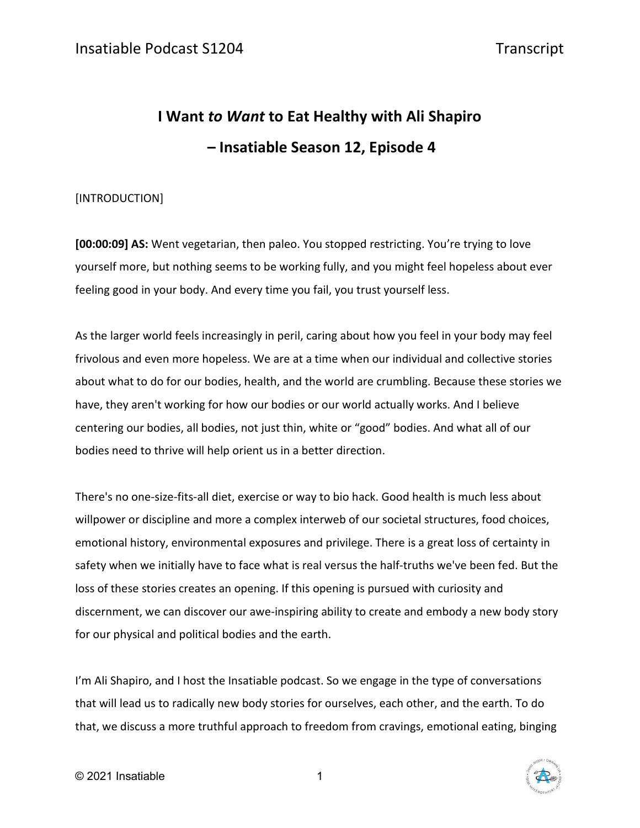# **I Want** *to Want* **to Eat Healthy with Ali Shapiro – Insatiable Season 12, Episode 4**

### [INTRODUCTION]

**[00:00:09] AS:** Went vegetarian, then paleo. You stopped restricting. You're trying to love yourself more, but nothing seems to be working fully, and you might feel hopeless about ever feeling good in your body. And every time you fail, you trust yourself less.

As the larger world feels increasingly in peril, caring about how you feel in your body may feel frivolous and even more hopeless. We are at a time when our individual and collective stories about what to do for our bodies, health, and the world are crumbling. Because these stories we have, they aren't working for how our bodies or our world actually works. And I believe centering our bodies, all bodies, not just thin, white or "good" bodies. And what all of our bodies need to thrive will help orient us in a better direction.

There's no one-size-fits-all diet, exercise or way to bio hack. Good health is much less about willpower or discipline and more a complex interweb of our societal structures, food choices, emotional history, environmental exposures and privilege. There is a great loss of certainty in safety when we initially have to face what is real versus the half-truths we've been fed. But the loss of these stories creates an opening. If this opening is pursued with curiosity and discernment, we can discover our awe-inspiring ability to create and embody a new body story for our physical and political bodies and the earth.

I'm Ali Shapiro, and I host the Insatiable podcast. So we engage in the type of conversations that will lead us to radically new body stories for ourselves, each other, and the earth. To do that, we discuss a more truthful approach to freedom from cravings, emotional eating, binging

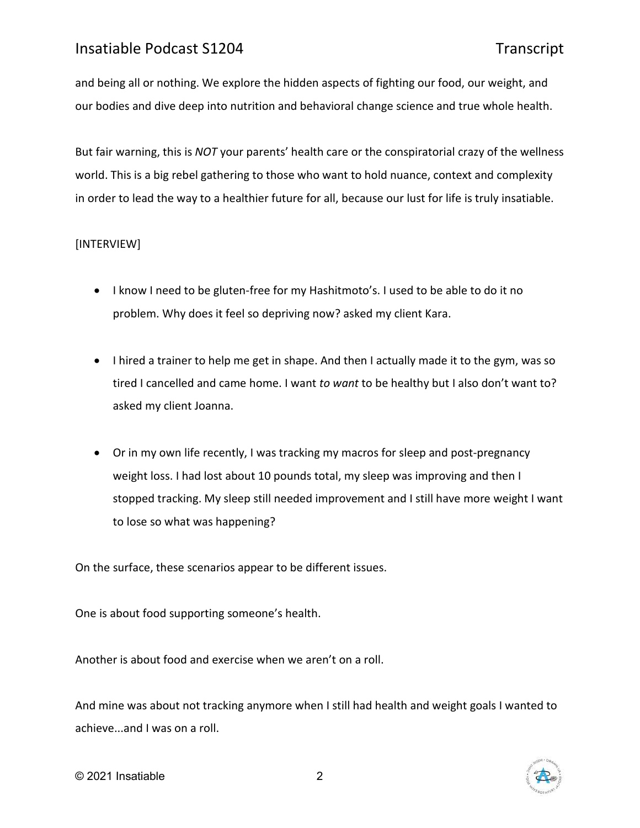and being all or nothing. We explore the hidden aspects of fighting our food, our weight, and our bodies and dive deep into nutrition and behavioral change science and true whole health.

But fair warning, this is *NOT* your parents' health care or the conspiratorial crazy of the wellness world. This is a big rebel gathering to those who want to hold nuance, context and complexity in order to lead the way to a healthier future for all, because our lust for life is truly insatiable.

### [INTERVIEW]

- I know I need to be gluten-free for my Hashitmoto's. I used to be able to do it no problem. Why does it feel so depriving now? asked my client Kara.
- I hired a trainer to help me get in shape. And then I actually made it to the gym, was so tired I cancelled and came home. I want *to want* to be healthy but I also don't want to? asked my client Joanna.
- Or in my own life recently, I was tracking my macros for sleep and post-pregnancy weight loss. I had lost about 10 pounds total, my sleep was improving and then I stopped tracking. My sleep still needed improvement and I still have more weight I want to lose so what was happening?

On the surface, these scenarios appear to be different issues.

One is about food supporting someone's health.

Another is about food and exercise when we aren't on a roll.

And mine was about not tracking anymore when I still had health and weight goals I wanted to achieve...and I was on a roll.

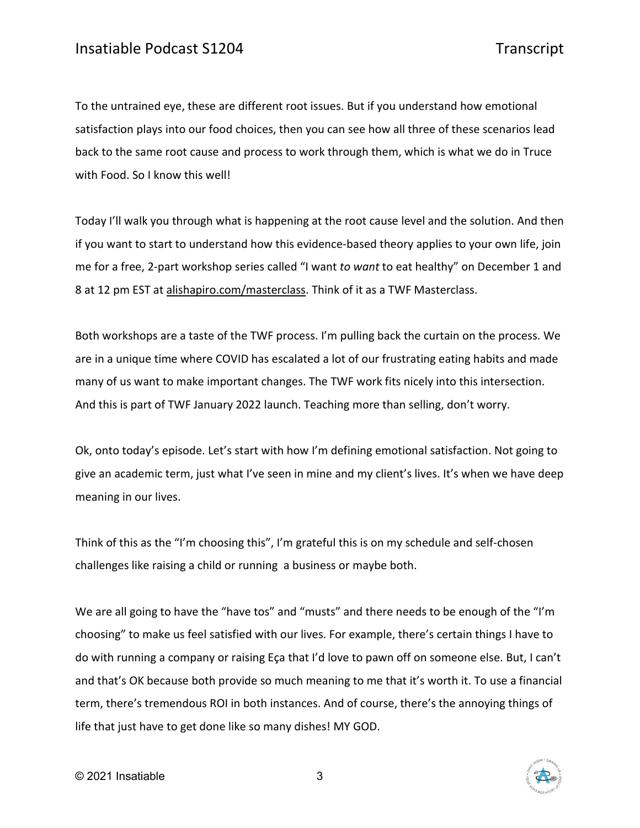To the untrained eye, these are different root issues. But if you understand how emotional satisfaction plays into our food choices, then you can see how all three of these scenarios lead back to the same root cause and process to work through them, which is what we do in Truce with Food. So I know this well!

Today I'll walk you through what is happening at the root cause level and the solution. And then if you want to start to understand how this evidence-based theory applies to your own life, join me for a free, 2-part workshop series called "I want *to want* to eat healthy" on December 1 and 8 at 12 pm EST at [alishapiro.com/masterclass.](http://alishapiro.com/masterclass/) Think of it as a TWF Masterclass.

Both workshops are a taste of the TWF process. I'm pulling back the curtain on the process. We are in a unique time where COVID has escalated a lot of our frustrating eating habits and made many of us want to make important changes. The TWF work fits nicely into this intersection. And this is part of TWF January 2022 launch. Teaching more than selling, don't worry.

Ok, onto today's episode. Let's start with how I'm defining emotional satisfaction. Not going to give an academic term, just what I've seen in mine and my client's lives. It's when we have deep meaning in our lives.

Think of this as the "I'm choosing this", I'm grateful this is on my schedule and self-chosen challenges like raising a child or running a business or maybe both.

We are all going to have the "have tos" and "musts" and there needs to be enough of the "I'm choosing" to make us feel satisfied with our lives. For example, there's certain things I have to do with running a company or raising Eça that I'd love to pawn off on someone else. But, I can't and that's OK because both provide so much meaning to me that it's worth it. To use a financial term, there's tremendous ROI in both instances. And of course, there's the annoying things of life that just have to get done like so many dishes! MY GOD.

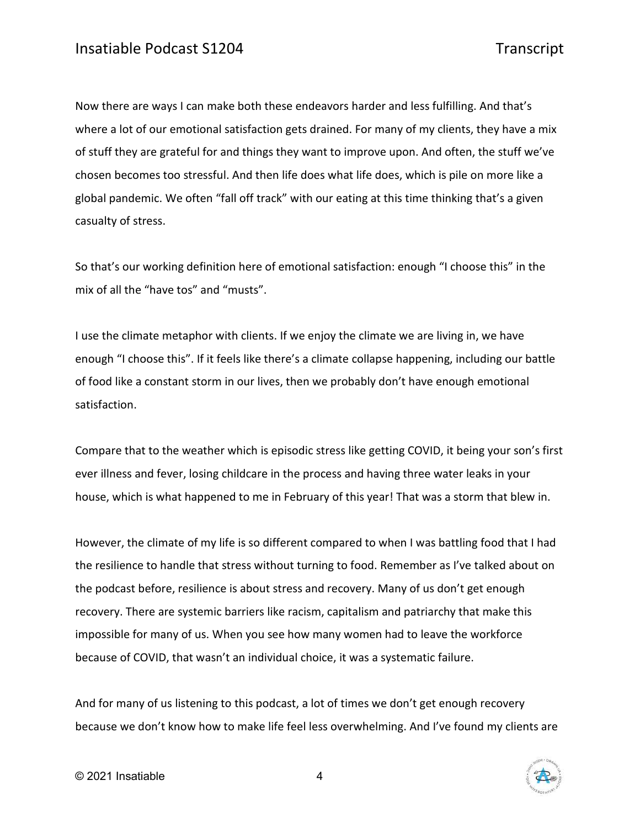Now there are ways I can make both these endeavors harder and less fulfilling. And that's where a lot of our emotional satisfaction gets drained. For many of my clients, they have a mix of stuff they are grateful for and things they want to improve upon. And often, the stuff we've chosen becomes too stressful. And then life does what life does, which is pile on more like a global pandemic. We often "fall off track" with our eating at this time thinking that's a given casualty of stress.

So that's our working definition here of emotional satisfaction: enough "I choose this" in the mix of all the "have tos" and "musts".

I use the climate metaphor with clients. If we enjoy the climate we are living in, we have enough "I choose this". If it feels like there's a climate collapse happening, including our battle of food like a constant storm in our lives, then we probably don't have enough emotional satisfaction.

Compare that to the weather which is episodic stress like getting COVID, it being your son's first ever illness and fever, losing childcare in the process and having three water leaks in your house, which is what happened to me in February of this year! That was a storm that blew in.

However, the climate of my life is so different compared to when I was battling food that I had the resilience to handle that stress without turning to food. Remember as I've talked about on the podcast before, resilience is about stress and recovery. Many of us don't get enough recovery. There are systemic barriers like racism, capitalism and patriarchy that make this impossible for many of us. When you see how many women had to leave the workforce because of COVID, that wasn't an individual choice, it was a systematic failure.

And for many of us listening to this podcast, a lot of times we don't get enough recovery because we don't know how to make life feel less overwhelming. And I've found my clients are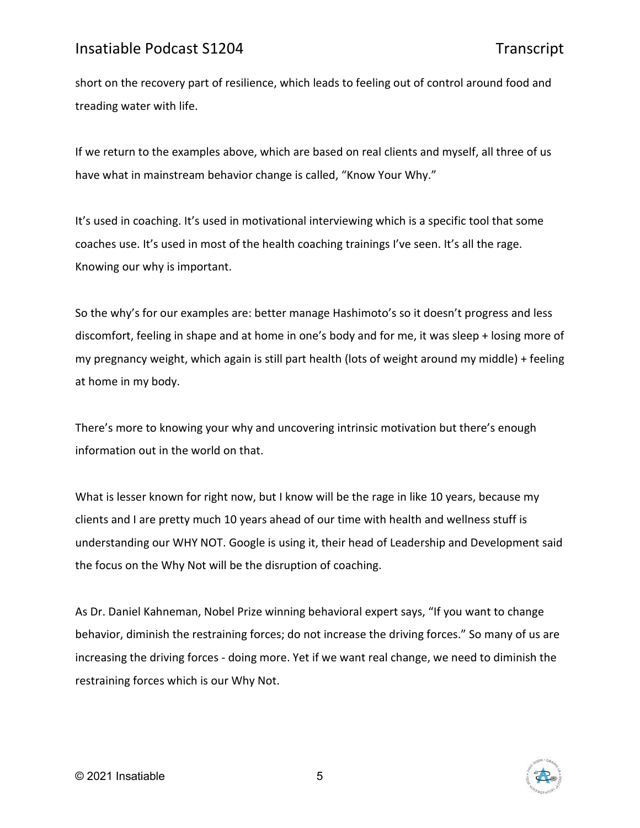short on the recovery part of resilience, which leads to feeling out of control around food and treading water with life.

If we return to the examples above, which are based on real clients and myself, all three of us have what in mainstream behavior change is called, "Know Your Why."

It's used in coaching. It's used in motivational interviewing which is a specific tool that some coaches use. It's used in most of the health coaching trainings I've seen. It's all the rage. Knowing our why is important.

So the why's for our examples are: better manage Hashimoto's so it doesn't progress and less discomfort, feeling in shape and at home in one's body and for me, it was sleep + losing more of my pregnancy weight, which again is still part health (lots of weight around my middle) + feeling at home in my body.

There's more to knowing your why and uncovering intrinsic motivation but there's enough information out in the world on that.

What is lesser known for right now, but I know will be the rage in like 10 years, because my clients and I are pretty much 10 years ahead of our time with health and wellness stuff is understanding our WHY NOT. Google is using it, their head of Leadership and Development said the focus on the Why Not will be the disruption of coaching.

As Dr. Daniel Kahneman, Nobel Prize winning behavioral expert says, "If you want to change behavior, diminish the restraining forces; do not increase the driving forces." So many of us are increasing the driving forces - doing more. Yet if we want real change, we need to diminish the restraining forces which is our Why Not.

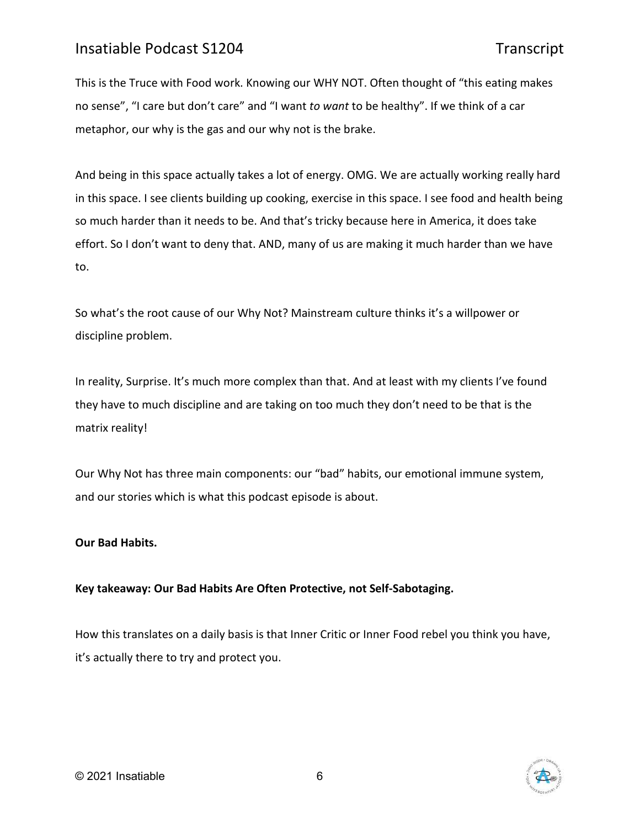This is the Truce with Food work. Knowing our WHY NOT. Often thought of "this eating makes no sense", "I care but don't care" and "I want *to want* to be healthy". If we think of a car metaphor, our why is the gas and our why not is the brake.

And being in this space actually takes a lot of energy. OMG. We are actually working really hard in this space. I see clients building up cooking, exercise in this space. I see food and health being so much harder than it needs to be. And that's tricky because here in America, it does take effort. So I don't want to deny that. AND, many of us are making it much harder than we have to.

So what's the root cause of our Why Not? Mainstream culture thinks it's a willpower or discipline problem.

In reality, Surprise. It's much more complex than that. And at least with my clients I've found they have to much discipline and are taking on too much they don't need to be that is the matrix reality!

Our Why Not has three main components: our "bad" habits, our emotional immune system, and our stories which is what this podcast episode is about.

### **Our Bad Habits.**

### **Key takeaway: Our Bad Habits Are Often Protective, not Self-Sabotaging.**

How this translates on a daily basis is that Inner Critic or Inner Food rebel you think you have, it's actually there to try and protect you.

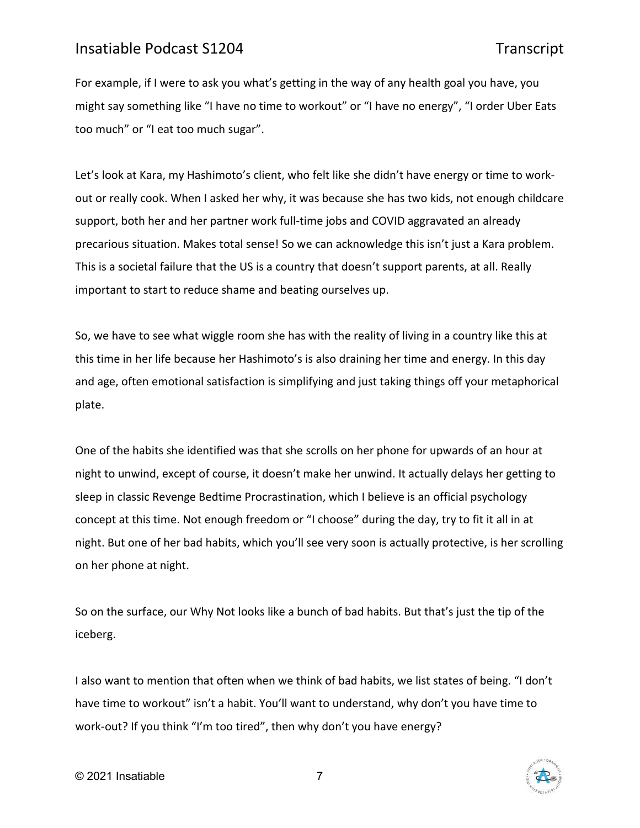For example, if I were to ask you what's getting in the way of any health goal you have, you might say something like "I have no time to workout" or "I have no energy", "I order Uber Eats too much" or "I eat too much sugar".

Let's look at Kara, my Hashimoto's client, who felt like she didn't have energy or time to workout or really cook. When I asked her why, it was because she has two kids, not enough childcare support, both her and her partner work full-time jobs and COVID aggravated an already precarious situation. Makes total sense! So we can acknowledge this isn't just a Kara problem. This is a societal failure that the US is a country that doesn't support parents, at all. Really important to start to reduce shame and beating ourselves up.

So, we have to see what wiggle room she has with the reality of living in a country like this at this time in her life because her Hashimoto's is also draining her time and energy. In this day and age, often emotional satisfaction is simplifying and just taking things off your metaphorical plate.

One of the habits she identified was that she scrolls on her phone for upwards of an hour at night to unwind, except of course, it doesn't make her unwind. It actually delays her getting to sleep in classic Revenge Bedtime Procrastination, which I believe is an official psychology concept at this time. Not enough freedom or "I choose" during the day, try to fit it all in at night. But one of her bad habits, which you'll see very soon is actually protective, is her scrolling on her phone at night.

So on the surface, our Why Not looks like a bunch of bad habits. But that's just the tip of the iceberg.

I also want to mention that often when we think of bad habits, we list states of being. "I don't have time to workout" isn't a habit. You'll want to understand, why don't you have time to work-out? If you think "I'm too tired", then why don't you have energy?

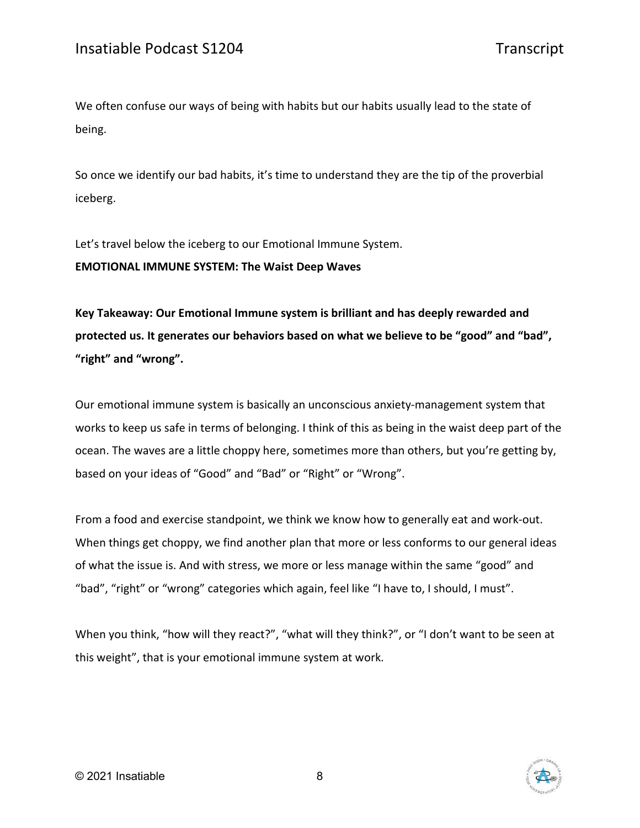We often confuse our ways of being with habits but our habits usually lead to the state of being.

So once we identify our bad habits, it's time to understand they are the tip of the proverbial iceberg.

Let's travel below the iceberg to our Emotional Immune System.

**EMOTIONAL IMMUNE SYSTEM: The Waist Deep Waves**

**Key Takeaway: Our Emotional Immune system is brilliant and has deeply rewarded and protected us. It generates our behaviors based on what we believe to be "good" and "bad", "right" and "wrong".**

Our emotional immune system is basically an unconscious anxiety-management system that works to keep us safe in terms of belonging. I think of this as being in the waist deep part of the ocean. The waves are a little choppy here, sometimes more than others, but you're getting by, based on your ideas of "Good" and "Bad" or "Right" or "Wrong".

From a food and exercise standpoint, we think we know how to generally eat and work-out. When things get choppy, we find another plan that more or less conforms to our general ideas of what the issue is. And with stress, we more or less manage within the same "good" and "bad", "right" or "wrong" categories which again, feel like "I have to, I should, I must".

When you think, "how will they react?", "what will they think?", or "I don't want to be seen at this weight", that is your emotional immune system at work.



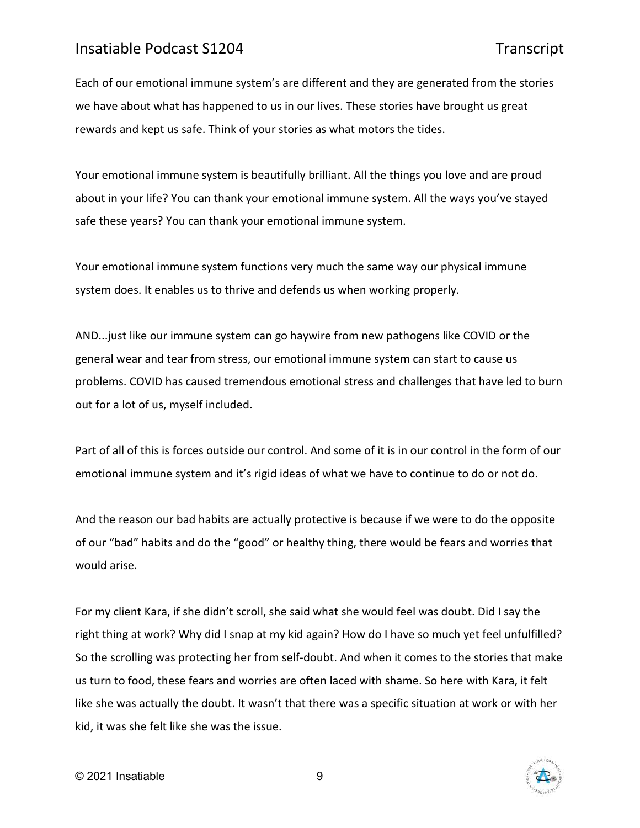Each of our emotional immune system's are different and they are generated from the stories we have about what has happened to us in our lives. These stories have brought us great rewards and kept us safe. Think of your stories as what motors the tides.

Your emotional immune system is beautifully brilliant. All the things you love and are proud about in your life? You can thank your emotional immune system. All the ways you've stayed safe these years? You can thank your emotional immune system.

Your emotional immune system functions very much the same way our physical immune system does. It enables us to thrive and defends us when working properly.

AND...just like our immune system can go haywire from new pathogens like COVID or the general wear and tear from stress, our emotional immune system can start to cause us problems. COVID has caused tremendous emotional stress and challenges that have led to burn out for a lot of us, myself included.

Part of all of this is forces outside our control. And some of it is in our control in the form of our emotional immune system and it's rigid ideas of what we have to continue to do or not do.

And the reason our bad habits are actually protective is because if we were to do the opposite of our "bad" habits and do the "good" or healthy thing, there would be fears and worries that would arise.

For my client Kara, if she didn't scroll, she said what she would feel was doubt. Did I say the right thing at work? Why did I snap at my kid again? How do I have so much yet feel unfulfilled? So the scrolling was protecting her from self-doubt. And when it comes to the stories that make us turn to food, these fears and worries are often laced with shame. So here with Kara, it felt like she was actually the doubt. It wasn't that there was a specific situation at work or with her kid, it was she felt like she was the issue.

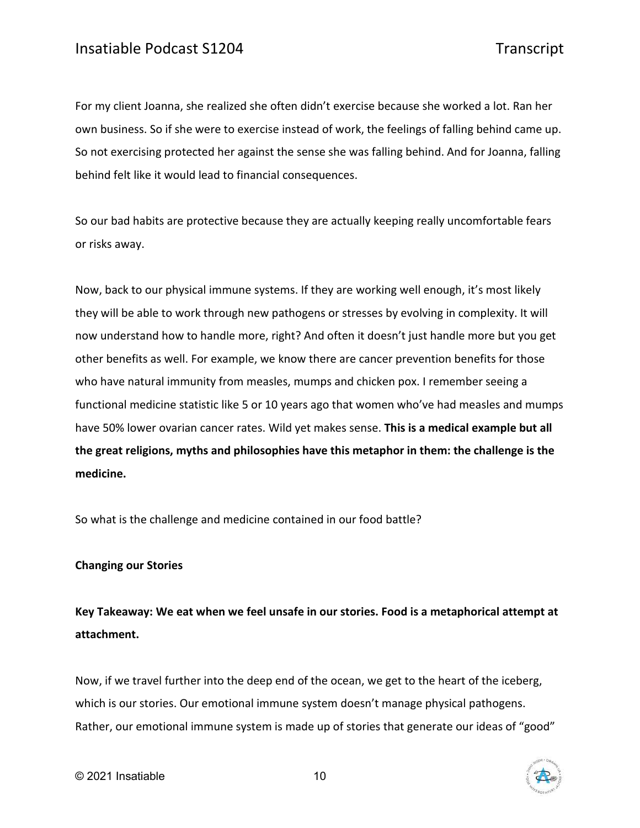For my client Joanna, she realized she often didn't exercise because she worked a lot. Ran her own business. So if she were to exercise instead of work, the feelings of falling behind came up. So not exercising protected her against the sense she was falling behind. And for Joanna, falling behind felt like it would lead to financial consequences.

So our bad habits are protective because they are actually keeping really uncomfortable fears or risks away.

Now, back to our physical immune systems. If they are working well enough, it's most likely they will be able to work through new pathogens or stresses by evolving in complexity. It will now understand how to handle more, right? And often it doesn't just handle more but you get other benefits as well. For example, we know there are cancer prevention benefits for those who have natural immunity from measles, mumps and chicken pox. I remember seeing a functional medicine statistic like 5 or 10 years ago that women who've had measles and mumps have 50% lower ovarian cancer rates. Wild yet makes sense. **This is a medical example but all the great religions, myths and philosophies have this metaphor in them: the challenge is the medicine.**

So what is the challenge and medicine contained in our food battle?

### **Changing our Stories**

**Key Takeaway: We eat when we feel unsafe in our stories. Food is a metaphorical attempt at attachment.** 

Now, if we travel further into the deep end of the ocean, we get to the heart of the iceberg, which is our stories. Our emotional immune system doesn't manage physical pathogens. Rather, our emotional immune system is made up of stories that generate our ideas of "good"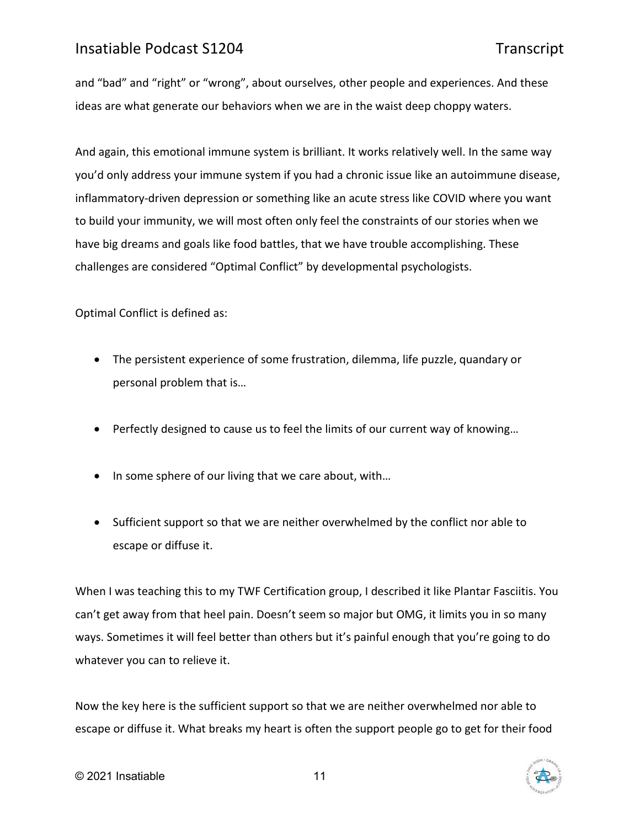and "bad" and "right" or "wrong", about ourselves, other people and experiences. And these ideas are what generate our behaviors when we are in the waist deep choppy waters.

And again, this emotional immune system is brilliant. It works relatively well. In the same way you'd only address your immune system if you had a chronic issue like an autoimmune disease, inflammatory-driven depression or something like an acute stress like COVID where you want to build your immunity, we will most often only feel the constraints of our stories when we have big dreams and goals like food battles, that we have trouble accomplishing. These challenges are considered "Optimal Conflict" by developmental psychologists.

Optimal Conflict is defined as:

- The persistent experience of some frustration, dilemma, life puzzle, quandary or personal problem that is…
- Perfectly designed to cause us to feel the limits of our current way of knowing...
- In some sphere of our living that we care about, with...
- Sufficient support so that we are neither overwhelmed by the conflict nor able to escape or diffuse it.

When I was teaching this to my TWF Certification group, I described it like Plantar Fasciitis. You can't get away from that heel pain. Doesn't seem so major but OMG, it limits you in so many ways. Sometimes it will feel better than others but it's painful enough that you're going to do whatever you can to relieve it.

Now the key here is the sufficient support so that we are neither overwhelmed nor able to escape or diffuse it. What breaks my heart is often the support people go to get for their food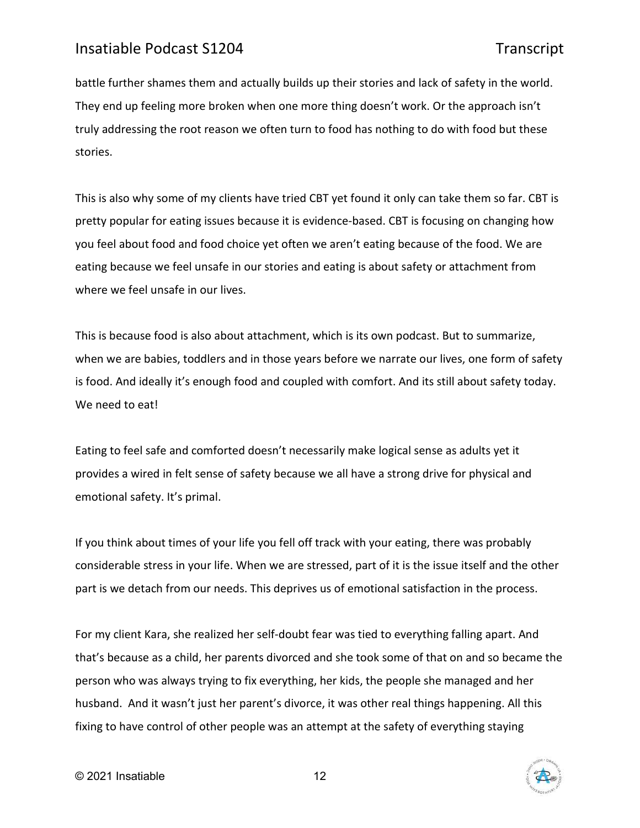battle further shames them and actually builds up their stories and lack of safety in the world. They end up feeling more broken when one more thing doesn't work. Or the approach isn't truly addressing the root reason we often turn to food has nothing to do with food but these stories.

This is also why some of my clients have tried CBT yet found it only can take them so far. CBT is pretty popular for eating issues because it is evidence-based. CBT is focusing on changing how you feel about food and food choice yet often we aren't eating because of the food. We are eating because we feel unsafe in our stories and eating is about safety or attachment from where we feel unsafe in our lives.

This is because food is also about attachment, which is its own podcast. But to summarize, when we are babies, toddlers and in those years before we narrate our lives, one form of safety is food. And ideally it's enough food and coupled with comfort. And its still about safety today. We need to eat!

Eating to feel safe and comforted doesn't necessarily make logical sense as adults yet it provides a wired in felt sense of safety because we all have a strong drive for physical and emotional safety. It's primal.

If you think about times of your life you fell off track with your eating, there was probably considerable stress in your life. When we are stressed, part of it is the issue itself and the other part is we detach from our needs. This deprives us of emotional satisfaction in the process.

For my client Kara, she realized her self-doubt fear was tied to everything falling apart. And that's because as a child, her parents divorced and she took some of that on and so became the person who was always trying to fix everything, her kids, the people she managed and her husband. And it wasn't just her parent's divorce, it was other real things happening. All this fixing to have control of other people was an attempt at the safety of everything staying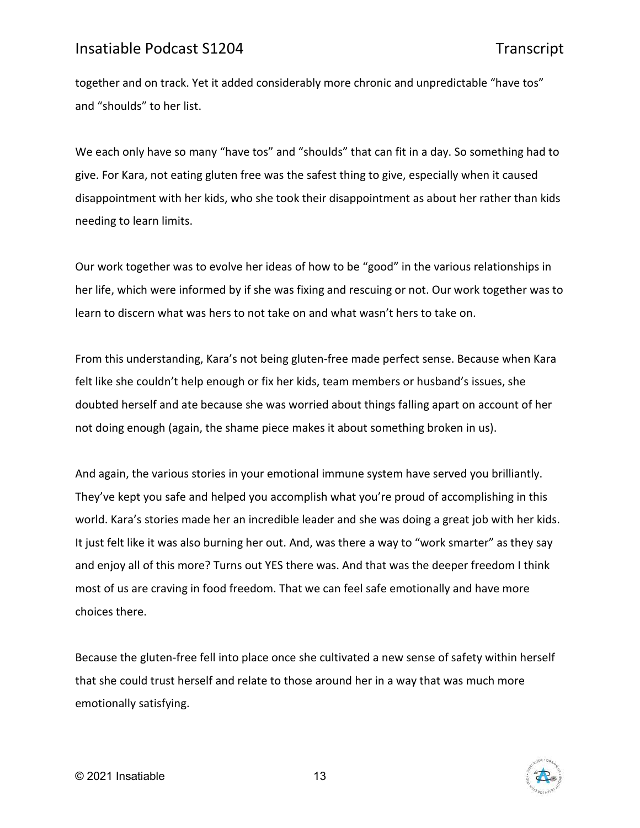together and on track. Yet it added considerably more chronic and unpredictable "have tos" and "shoulds" to her list.

We each only have so many "have tos" and "shoulds" that can fit in a day. So something had to give. For Kara, not eating gluten free was the safest thing to give, especially when it caused disappointment with her kids, who she took their disappointment as about her rather than kids needing to learn limits.

Our work together was to evolve her ideas of how to be "good" in the various relationships in her life, which were informed by if she was fixing and rescuing or not. Our work together was to learn to discern what was hers to not take on and what wasn't hers to take on.

From this understanding, Kara's not being gluten-free made perfect sense. Because when Kara felt like she couldn't help enough or fix her kids, team members or husband's issues, she doubted herself and ate because she was worried about things falling apart on account of her not doing enough (again, the shame piece makes it about something broken in us).

And again, the various stories in your emotional immune system have served you brilliantly. They've kept you safe and helped you accomplish what you're proud of accomplishing in this world. Kara's stories made her an incredible leader and she was doing a great job with her kids. It just felt like it was also burning her out. And, was there a way to "work smarter" as they say and enjoy all of this more? Turns out YES there was. And that was the deeper freedom I think most of us are craving in food freedom. That we can feel safe emotionally and have more choices there.

Because the gluten-free fell into place once she cultivated a new sense of safety within herself that she could trust herself and relate to those around her in a way that was much more emotionally satisfying.

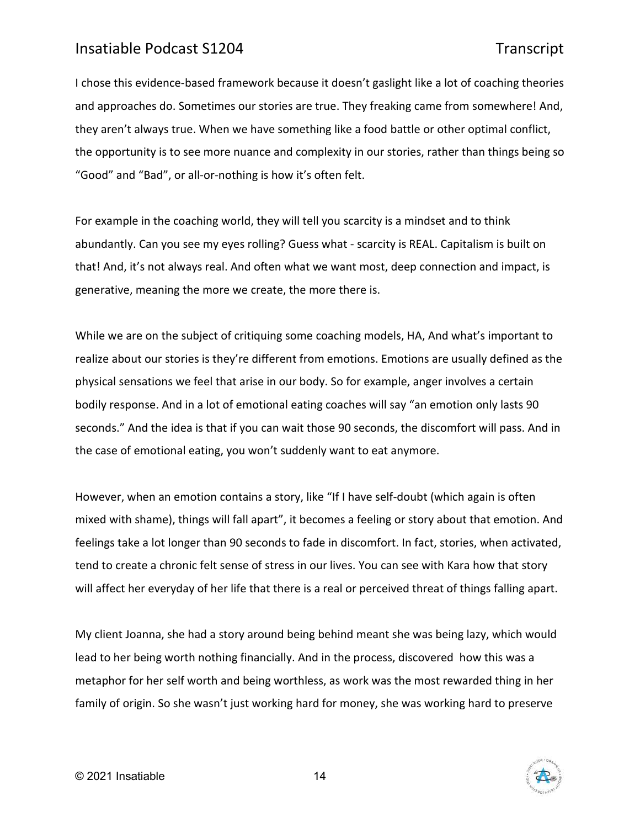I chose this evidence-based framework because it doesn't gaslight like a lot of coaching theories and approaches do. Sometimes our stories are true. They freaking came from somewhere! And, they aren't always true. When we have something like a food battle or other optimal conflict, the opportunity is to see more nuance and complexity in our stories, rather than things being so "Good" and "Bad", or all-or-nothing is how it's often felt.

For example in the coaching world, they will tell you scarcity is a mindset and to think abundantly. Can you see my eyes rolling? Guess what - scarcity is REAL. Capitalism is built on that! And, it's not always real. And often what we want most, deep connection and impact, is generative, meaning the more we create, the more there is.

While we are on the subject of critiquing some coaching models, HA, And what's important to realize about our stories is they're different from emotions. Emotions are usually defined as the physical sensations we feel that arise in our body. So for example, anger involves a certain bodily response. And in a lot of emotional eating coaches will say "an emotion only lasts 90 seconds." And the idea is that if you can wait those 90 seconds, the discomfort will pass. And in the case of emotional eating, you won't suddenly want to eat anymore.

However, when an emotion contains a story, like "If I have self-doubt (which again is often mixed with shame), things will fall apart", it becomes a feeling or story about that emotion. And feelings take a lot longer than 90 seconds to fade in discomfort. In fact, stories, when activated, tend to create a chronic felt sense of stress in our lives. You can see with Kara how that story will affect her everyday of her life that there is a real or perceived threat of things falling apart.

My client Joanna, she had a story around being behind meant she was being lazy, which would lead to her being worth nothing financially. And in the process, discovered how this was a metaphor for her self worth and being worthless, as work was the most rewarded thing in her family of origin. So she wasn't just working hard for money, she was working hard to preserve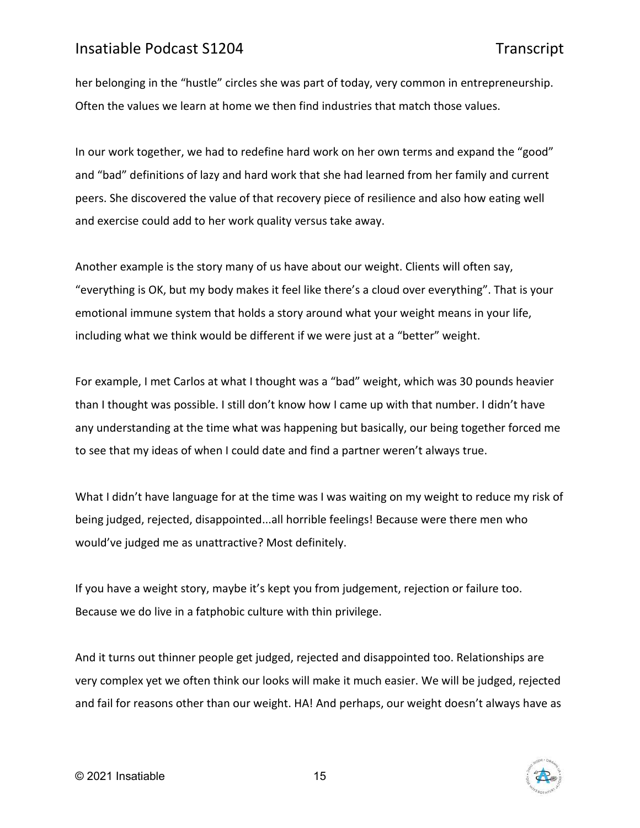her belonging in the "hustle" circles she was part of today, very common in entrepreneurship. Often the values we learn at home we then find industries that match those values.

In our work together, we had to redefine hard work on her own terms and expand the "good" and "bad" definitions of lazy and hard work that she had learned from her family and current peers. She discovered the value of that recovery piece of resilience and also how eating well and exercise could add to her work quality versus take away.

Another example is the story many of us have about our weight. Clients will often say, "everything is OK, but my body makes it feel like there's a cloud over everything". That is your emotional immune system that holds a story around what your weight means in your life, including what we think would be different if we were just at a "better" weight.

For example, I met Carlos at what I thought was a "bad" weight, which was 30 pounds heavier than I thought was possible. I still don't know how I came up with that number. I didn't have any understanding at the time what was happening but basically, our being together forced me to see that my ideas of when I could date and find a partner weren't always true.

What I didn't have language for at the time was I was waiting on my weight to reduce my risk of being judged, rejected, disappointed...all horrible feelings! Because were there men who would've judged me as unattractive? Most definitely.

If you have a weight story, maybe it's kept you from judgement, rejection or failure too. Because we do live in a fatphobic culture with thin privilege.

And it turns out thinner people get judged, rejected and disappointed too. Relationships are very complex yet we often think our looks will make it much easier. We will be judged, rejected and fail for reasons other than our weight. HA! And perhaps, our weight doesn't always have as

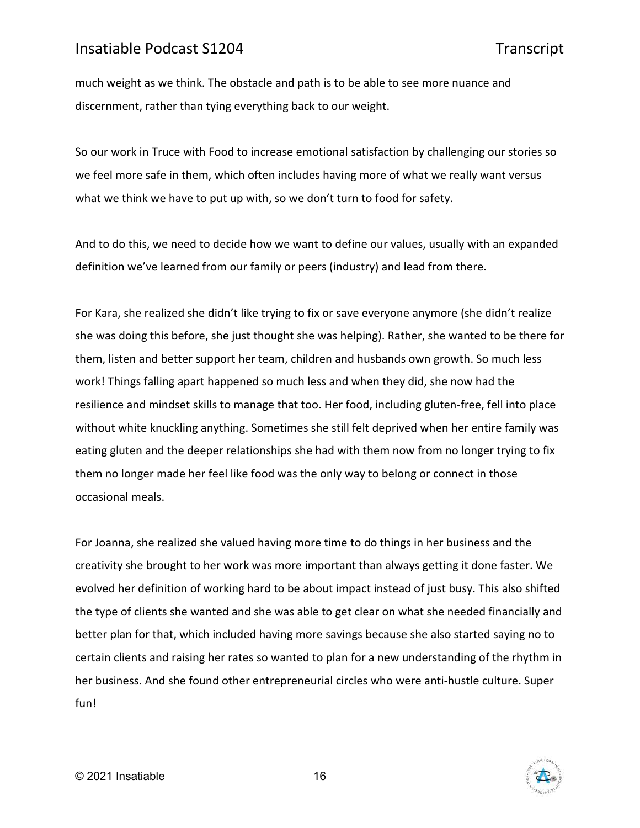much weight as we think. The obstacle and path is to be able to see more nuance and discernment, rather than tying everything back to our weight.

So our work in Truce with Food to increase emotional satisfaction by challenging our stories so we feel more safe in them, which often includes having more of what we really want versus what we think we have to put up with, so we don't turn to food for safety.

And to do this, we need to decide how we want to define our values, usually with an expanded definition we've learned from our family or peers (industry) and lead from there.

For Kara, she realized she didn't like trying to fix or save everyone anymore (she didn't realize she was doing this before, she just thought she was helping). Rather, she wanted to be there for them, listen and better support her team, children and husbands own growth. So much less work! Things falling apart happened so much less and when they did, she now had the resilience and mindset skills to manage that too. Her food, including gluten-free, fell into place without white knuckling anything. Sometimes she still felt deprived when her entire family was eating gluten and the deeper relationships she had with them now from no longer trying to fix them no longer made her feel like food was the only way to belong or connect in those occasional meals.

For Joanna, she realized she valued having more time to do things in her business and the creativity she brought to her work was more important than always getting it done faster. We evolved her definition of working hard to be about impact instead of just busy. This also shifted the type of clients she wanted and she was able to get clear on what she needed financially and better plan for that, which included having more savings because she also started saying no to certain clients and raising her rates so wanted to plan for a new understanding of the rhythm in her business. And she found other entrepreneurial circles who were anti-hustle culture. Super fun!



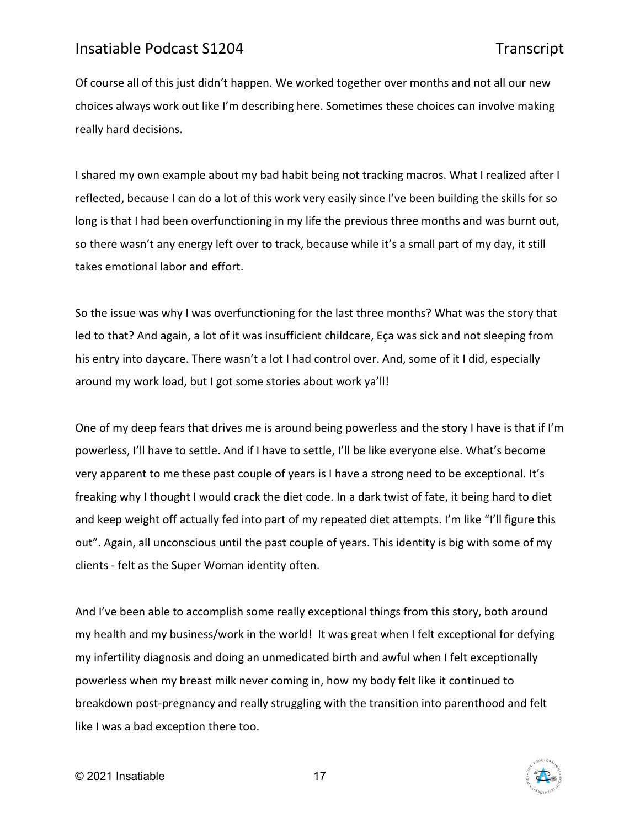Of course all of this just didn't happen. We worked together over months and not all our new choices always work out like I'm describing here. Sometimes these choices can involve making really hard decisions.

I shared my own example about my bad habit being not tracking macros. What I realized after I reflected, because I can do a lot of this work very easily since I've been building the skills for so long is that I had been overfunctioning in my life the previous three months and was burnt out, so there wasn't any energy left over to track, because while it's a small part of my day, it still takes emotional labor and effort.

So the issue was why I was overfunctioning for the last three months? What was the story that led to that? And again, a lot of it was insufficient childcare, Eça was sick and not sleeping from his entry into daycare. There wasn't a lot I had control over. And, some of it I did, especially around my work load, but I got some stories about work ya'll!

One of my deep fears that drives me is around being powerless and the story I have is that if I'm powerless, I'll have to settle. And if I have to settle, I'll be like everyone else. What's become very apparent to me these past couple of years is I have a strong need to be exceptional. It's freaking why I thought I would crack the diet code. In a dark twist of fate, it being hard to diet and keep weight off actually fed into part of my repeated diet attempts. I'm like "I'll figure this out". Again, all unconscious until the past couple of years. This identity is big with some of my clients - felt as the Super Woman identity often.

And I've been able to accomplish some really exceptional things from this story, both around my health and my business/work in the world! It was great when I felt exceptional for defying my infertility diagnosis and doing an unmedicated birth and awful when I felt exceptionally powerless when my breast milk never coming in, how my body felt like it continued to breakdown post-pregnancy and really struggling with the transition into parenthood and felt like I was a bad exception there too.

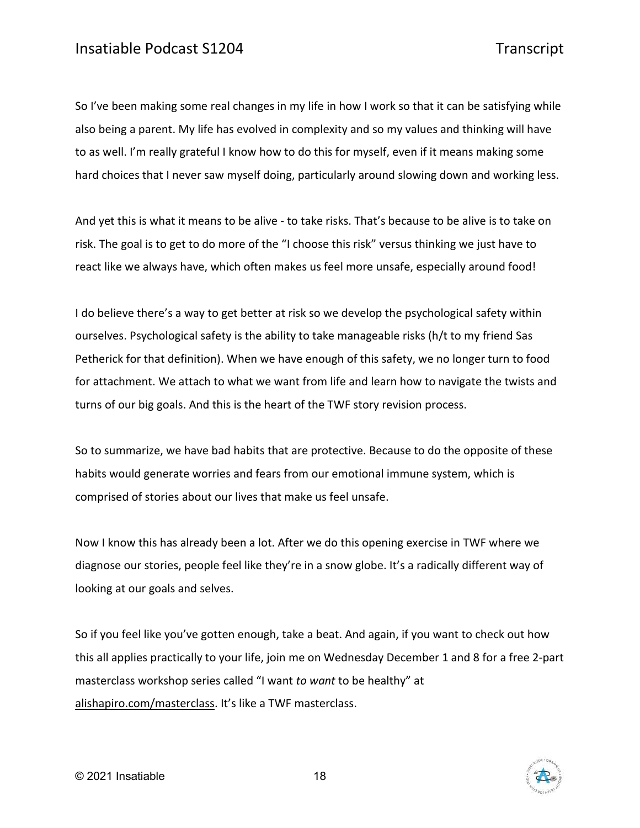So I've been making some real changes in my life in how I work so that it can be satisfying while also being a parent. My life has evolved in complexity and so my values and thinking will have to as well. I'm really grateful I know how to do this for myself, even if it means making some hard choices that I never saw myself doing, particularly around slowing down and working less.

And yet this is what it means to be alive - to take risks. That's because to be alive is to take on risk. The goal is to get to do more of the "I choose this risk" versus thinking we just have to react like we always have, which often makes us feel more unsafe, especially around food!

I do believe there's a way to get better at risk so we develop the psychological safety within ourselves. Psychological safety is the ability to take manageable risks (h/t to my friend Sas Petherick for that definition). When we have enough of this safety, we no longer turn to food for attachment. We attach to what we want from life and learn how to navigate the twists and turns of our big goals. And this is the heart of the TWF story revision process.

So to summarize, we have bad habits that are protective. Because to do the opposite of these habits would generate worries and fears from our emotional immune system, which is comprised of stories about our lives that make us feel unsafe.

Now I know this has already been a lot. After we do this opening exercise in TWF where we diagnose our stories, people feel like they're in a snow globe. It's a radically different way of looking at our goals and selves.

So if you feel like you've gotten enough, take a beat. And again, if you want to check out how this all applies practically to your life, join me on Wednesday December 1 and 8 for a free 2-part masterclass workshop series called "I want *to want* to be healthy" at [alishapiro.com/masterclass.](http://alishapiro.com/masterclass/) It's like a TWF masterclass.

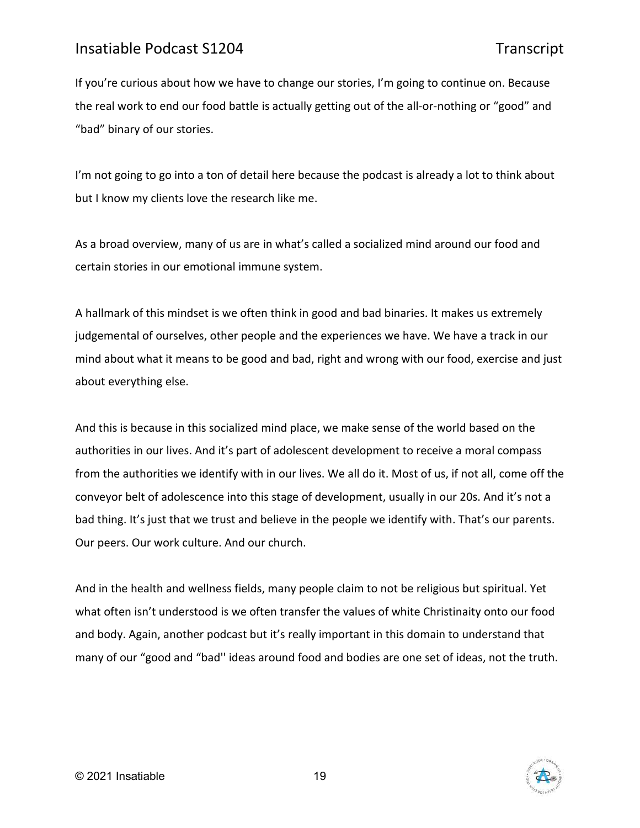If you're curious about how we have to change our stories, I'm going to continue on. Because the real work to end our food battle is actually getting out of the all-or-nothing or "good" and "bad" binary of our stories.

I'm not going to go into a ton of detail here because the podcast is already a lot to think about but I know my clients love the research like me.

As a broad overview, many of us are in what's called a socialized mind around our food and certain stories in our emotional immune system.

A hallmark of this mindset is we often think in good and bad binaries. It makes us extremely judgemental of ourselves, other people and the experiences we have. We have a track in our mind about what it means to be good and bad, right and wrong with our food, exercise and just about everything else.

And this is because in this socialized mind place, we make sense of the world based on the authorities in our lives. And it's part of adolescent development to receive a moral compass from the authorities we identify with in our lives. We all do it. Most of us, if not all, come off the conveyor belt of adolescence into this stage of development, usually in our 20s. And it's not a bad thing. It's just that we trust and believe in the people we identify with. That's our parents. Our peers. Our work culture. And our church.

And in the health and wellness fields, many people claim to not be religious but spiritual. Yet what often isn't understood is we often transfer the values of white Christinaity onto our food and body. Again, another podcast but it's really important in this domain to understand that many of our "good and "bad'' ideas around food and bodies are one set of ideas, not the truth.

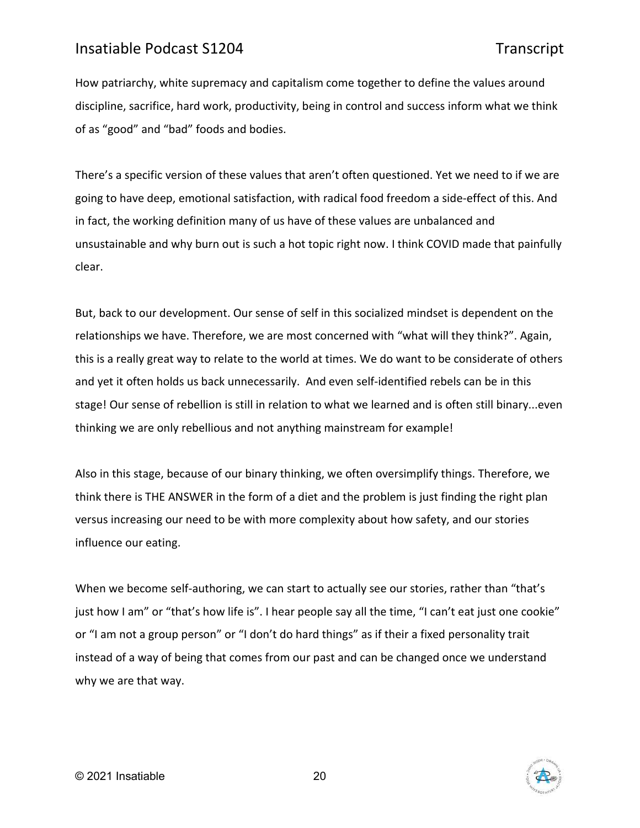How patriarchy, white supremacy and capitalism come together to define the values around discipline, sacrifice, hard work, productivity, being in control and success inform what we think of as "good" and "bad" foods and bodies.

There's a specific version of these values that aren't often questioned. Yet we need to if we are going to have deep, emotional satisfaction, with radical food freedom a side-effect of this. And in fact, the working definition many of us have of these values are unbalanced and unsustainable and why burn out is such a hot topic right now. I think COVID made that painfully clear.

But, back to our development. Our sense of self in this socialized mindset is dependent on the relationships we have. Therefore, we are most concerned with "what will they think?". Again, this is a really great way to relate to the world at times. We do want to be considerate of others and yet it often holds us back unnecessarily. And even self-identified rebels can be in this stage! Our sense of rebellion is still in relation to what we learned and is often still binary...even thinking we are only rebellious and not anything mainstream for example!

Also in this stage, because of our binary thinking, we often oversimplify things. Therefore, we think there is THE ANSWER in the form of a diet and the problem is just finding the right plan versus increasing our need to be with more complexity about how safety, and our stories influence our eating.

When we become self-authoring, we can start to actually see our stories, rather than "that's just how I am" or "that's how life is". I hear people say all the time, "I can't eat just one cookie" or "I am not a group person" or "I don't do hard things" as if their a fixed personality trait instead of a way of being that comes from our past and can be changed once we understand why we are that way.

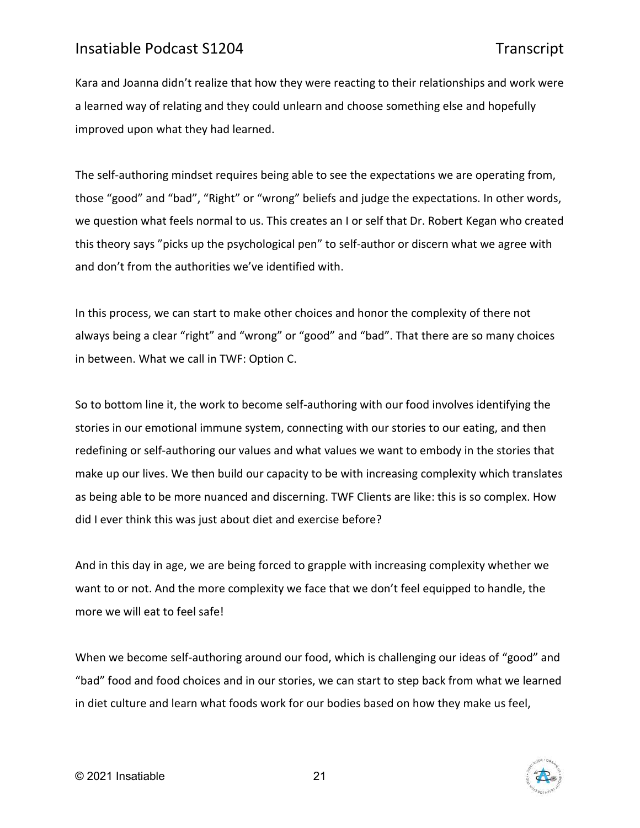Kara and Joanna didn't realize that how they were reacting to their relationships and work were a learned way of relating and they could unlearn and choose something else and hopefully improved upon what they had learned.

The self-authoring mindset requires being able to see the expectations we are operating from, those "good" and "bad", "Right" or "wrong" beliefs and judge the expectations. In other words, we question what feels normal to us. This creates an I or self that Dr. Robert Kegan who created this theory says "picks up the psychological pen" to self-author or discern what we agree with and don't from the authorities we've identified with.

In this process, we can start to make other choices and honor the complexity of there not always being a clear "right" and "wrong" or "good" and "bad". That there are so many choices in between. What we call in TWF: Option C.

So to bottom line it, the work to become self-authoring with our food involves identifying the stories in our emotional immune system, connecting with our stories to our eating, and then redefining or self-authoring our values and what values we want to embody in the stories that make up our lives. We then build our capacity to be with increasing complexity which translates as being able to be more nuanced and discerning. TWF Clients are like: this is so complex. How did I ever think this was just about diet and exercise before?

And in this day in age, we are being forced to grapple with increasing complexity whether we want to or not. And the more complexity we face that we don't feel equipped to handle, the more we will eat to feel safe!

When we become self-authoring around our food, which is challenging our ideas of "good" and "bad" food and food choices and in our stories, we can start to step back from what we learned in diet culture and learn what foods work for our bodies based on how they make us feel,

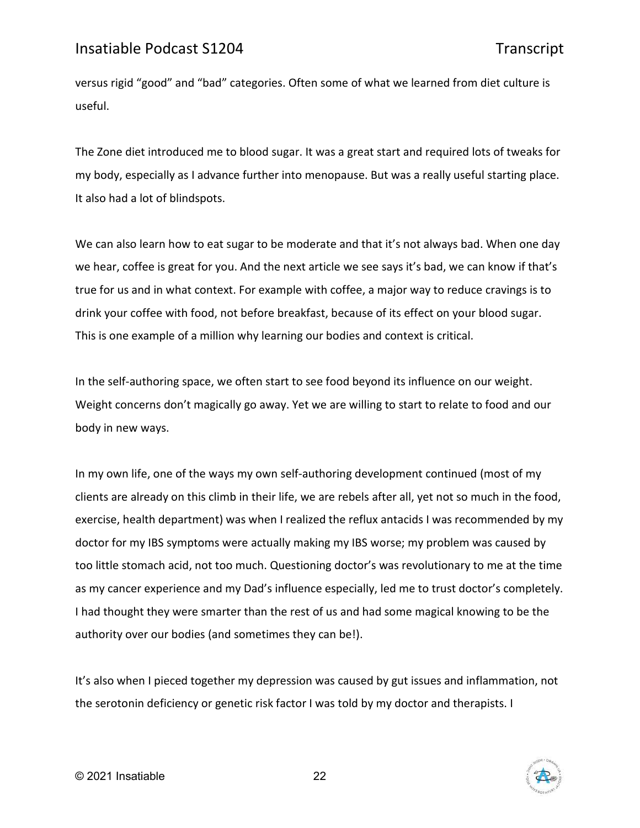versus rigid "good" and "bad" categories. Often some of what we learned from diet culture is useful.

The Zone diet introduced me to blood sugar. It was a great start and required lots of tweaks for my body, especially as I advance further into menopause. But was a really useful starting place. It also had a lot of blindspots.

We can also learn how to eat sugar to be moderate and that it's not always bad. When one day we hear, coffee is great for you. And the next article we see says it's bad, we can know if that's true for us and in what context. For example with coffee, a major way to reduce cravings is to drink your coffee with food, not before breakfast, because of its effect on your blood sugar. This is one example of a million why learning our bodies and context is critical.

In the self-authoring space, we often start to see food beyond its influence on our weight. Weight concerns don't magically go away. Yet we are willing to start to relate to food and our body in new ways.

In my own life, one of the ways my own self-authoring development continued (most of my clients are already on this climb in their life, we are rebels after all, yet not so much in the food, exercise, health department) was when I realized the reflux antacids I was recommended by my doctor for my IBS symptoms were actually making my IBS worse; my problem was caused by too little stomach acid, not too much. Questioning doctor's was revolutionary to me at the time as my cancer experience and my Dad's influence especially, led me to trust doctor's completely. I had thought they were smarter than the rest of us and had some magical knowing to be the authority over our bodies (and sometimes they can be!).

It's also when I pieced together my depression was caused by gut issues and inflammation, not the serotonin deficiency or genetic risk factor I was told by my doctor and therapists. I

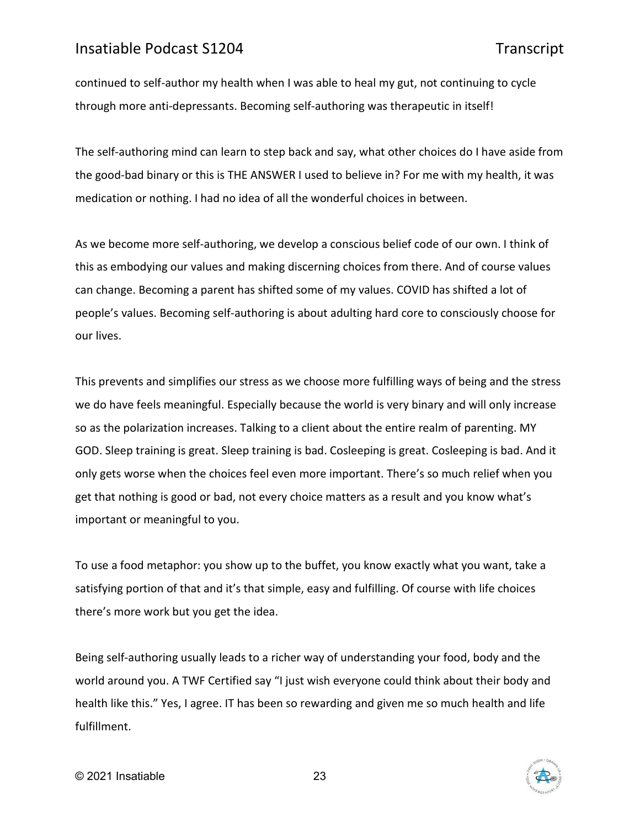continued to self-author my health when I was able to heal my gut, not continuing to cycle through more anti-depressants. Becoming self-authoring was therapeutic in itself!

The self-authoring mind can learn to step back and say, what other choices do I have aside from the good-bad binary or this is THE ANSWER I used to believe in? For me with my health, it was medication or nothing. I had no idea of all the wonderful choices in between.

As we become more self-authoring, we develop a conscious belief code of our own. I think of this as embodying our values and making discerning choices from there. And of course values can change. Becoming a parent has shifted some of my values. COVID has shifted a lot of people's values. Becoming self-authoring is about adulting hard core to consciously choose for our lives.

This prevents and simplifies our stress as we choose more fulfilling ways of being and the stress we do have feels meaningful. Especially because the world is very binary and will only increase so as the polarization increases. Talking to a client about the entire realm of parenting. MY GOD. Sleep training is great. Sleep training is bad. Cosleeping is great. Cosleeping is bad. And it only gets worse when the choices feel even more important. There's so much relief when you get that nothing is good or bad, not every choice matters as a result and you know what's important or meaningful to you.

To use a food metaphor: you show up to the buffet, you know exactly what you want, take a satisfying portion of that and it's that simple, easy and fulfilling. Of course with life choices there's more work but you get the idea.

Being self-authoring usually leads to a richer way of understanding your food, body and the world around you. A TWF Certified say "I just wish everyone could think about their body and health like this." Yes, I agree. IT has been so rewarding and given me so much health and life fulfillment.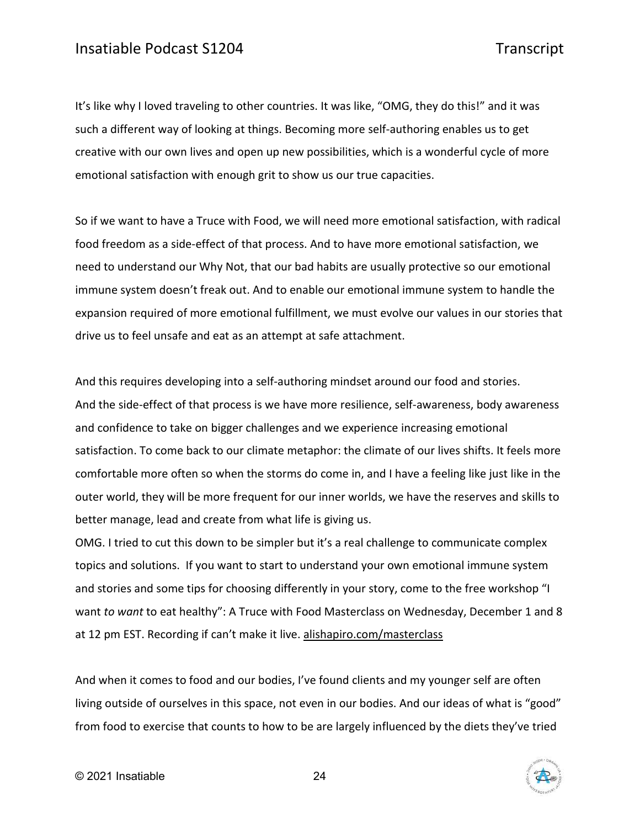It's like why I loved traveling to other countries. It was like, "OMG, they do this!" and it was such a different way of looking at things. Becoming more self-authoring enables us to get creative with our own lives and open up new possibilities, which is a wonderful cycle of more emotional satisfaction with enough grit to show us our true capacities.

So if we want to have a Truce with Food, we will need more emotional satisfaction, with radical food freedom as a side-effect of that process. And to have more emotional satisfaction, we need to understand our Why Not, that our bad habits are usually protective so our emotional immune system doesn't freak out. And to enable our emotional immune system to handle the expansion required of more emotional fulfillment, we must evolve our values in our stories that drive us to feel unsafe and eat as an attempt at safe attachment.

And this requires developing into a self-authoring mindset around our food and stories. And the side-effect of that process is we have more resilience, self-awareness, body awareness and confidence to take on bigger challenges and we experience increasing emotional satisfaction. To come back to our climate metaphor: the climate of our lives shifts. It feels more comfortable more often so when the storms do come in, and I have a feeling like just like in the outer world, they will be more frequent for our inner worlds, we have the reserves and skills to better manage, lead and create from what life is giving us.

OMG. I tried to cut this down to be simpler but it's a real challenge to communicate complex topics and solutions. If you want to start to understand your own emotional immune system and stories and some tips for choosing differently in your story, come to the free workshop "I want *to want* to eat healthy": A Truce with Food Masterclass on Wednesday, December 1 and 8 at 12 pm EST. Recording if can't make it live. [alishapiro.com/masterclass](http://alishapiro.com/masterclass/)

And when it comes to food and our bodies, I've found clients and my younger self are often living outside of ourselves in this space, not even in our bodies. And our ideas of what is "good" from food to exercise that counts to how to be are largely influenced by the diets they've tried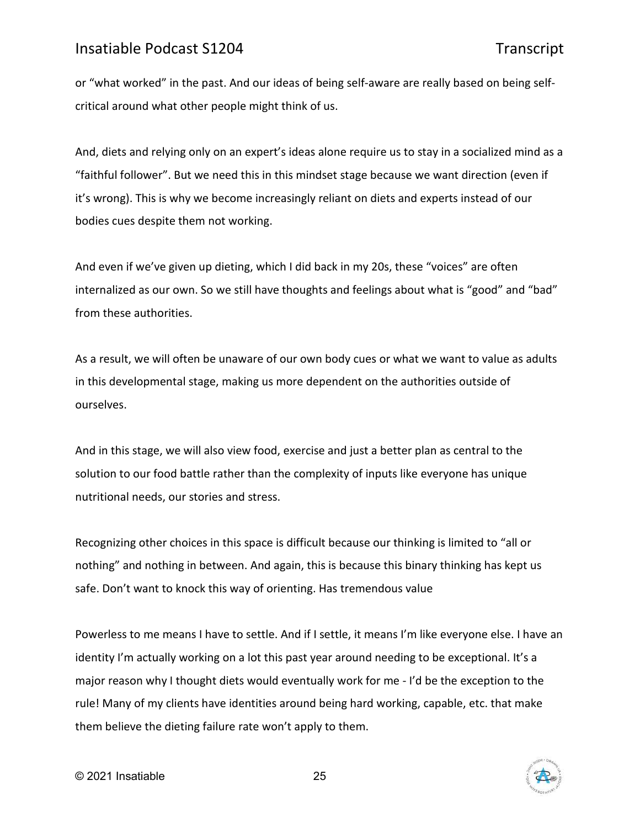or "what worked" in the past. And our ideas of being self-aware are really based on being selfcritical around what other people might think of us.

And, diets and relying only on an expert's ideas alone require us to stay in a socialized mind as a "faithful follower". But we need this in this mindset stage because we want direction (even if it's wrong). This is why we become increasingly reliant on diets and experts instead of our bodies cues despite them not working.

And even if we've given up dieting, which I did back in my 20s, these "voices" are often internalized as our own. So we still have thoughts and feelings about what is "good" and "bad" from these authorities.

As a result, we will often be unaware of our own body cues or what we want to value as adults in this developmental stage, making us more dependent on the authorities outside of ourselves.

And in this stage, we will also view food, exercise and just a better plan as central to the solution to our food battle rather than the complexity of inputs like everyone has unique nutritional needs, our stories and stress.

Recognizing other choices in this space is difficult because our thinking is limited to "all or nothing" and nothing in between. And again, this is because this binary thinking has kept us safe. Don't want to knock this way of orienting. Has tremendous value

Powerless to me means I have to settle. And if I settle, it means I'm like everyone else. I have an identity I'm actually working on a lot this past year around needing to be exceptional. It's a major reason why I thought diets would eventually work for me - I'd be the exception to the rule! Many of my clients have identities around being hard working, capable, etc. that make them believe the dieting failure rate won't apply to them.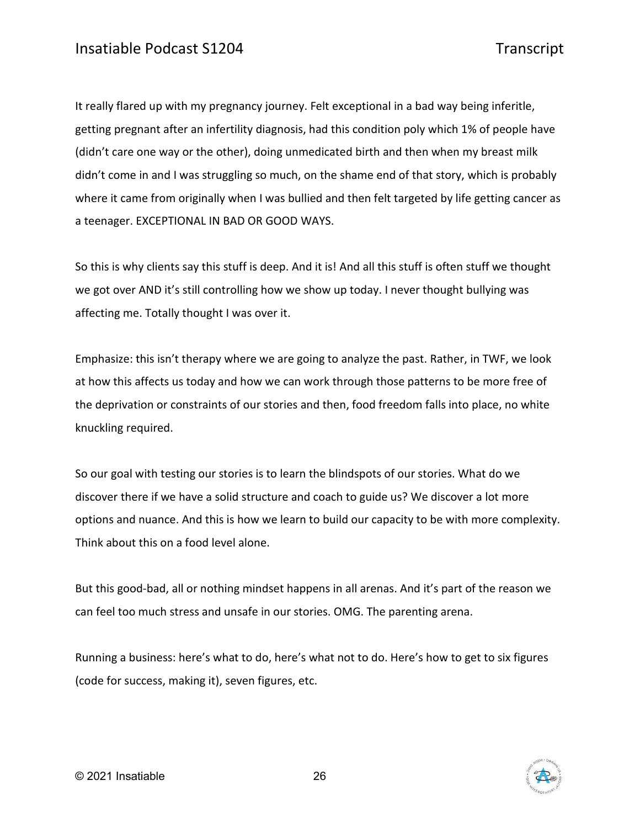It really flared up with my pregnancy journey. Felt exceptional in a bad way being inferitle, getting pregnant after an infertility diagnosis, had this condition poly which 1% of people have (didn't care one way or the other), doing unmedicated birth and then when my breast milk didn't come in and I was struggling so much, on the shame end of that story, which is probably where it came from originally when I was bullied and then felt targeted by life getting cancer as a teenager. EXCEPTIONAL IN BAD OR GOOD WAYS.

So this is why clients say this stuff is deep. And it is! And all this stuff is often stuff we thought we got over AND it's still controlling how we show up today. I never thought bullying was affecting me. Totally thought I was over it.

Emphasize: this isn't therapy where we are going to analyze the past. Rather, in TWF, we look at how this affects us today and how we can work through those patterns to be more free of the deprivation or constraints of our stories and then, food freedom falls into place, no white knuckling required.

So our goal with testing our stories is to learn the blindspots of our stories. What do we discover there if we have a solid structure and coach to guide us? We discover a lot more options and nuance. And this is how we learn to build our capacity to be with more complexity. Think about this on a food level alone.

But this good-bad, all or nothing mindset happens in all arenas. And it's part of the reason we can feel too much stress and unsafe in our stories. OMG. The parenting arena.

Running a business: here's what to do, here's what not to do. Here's how to get to six figures (code for success, making it), seven figures, etc.

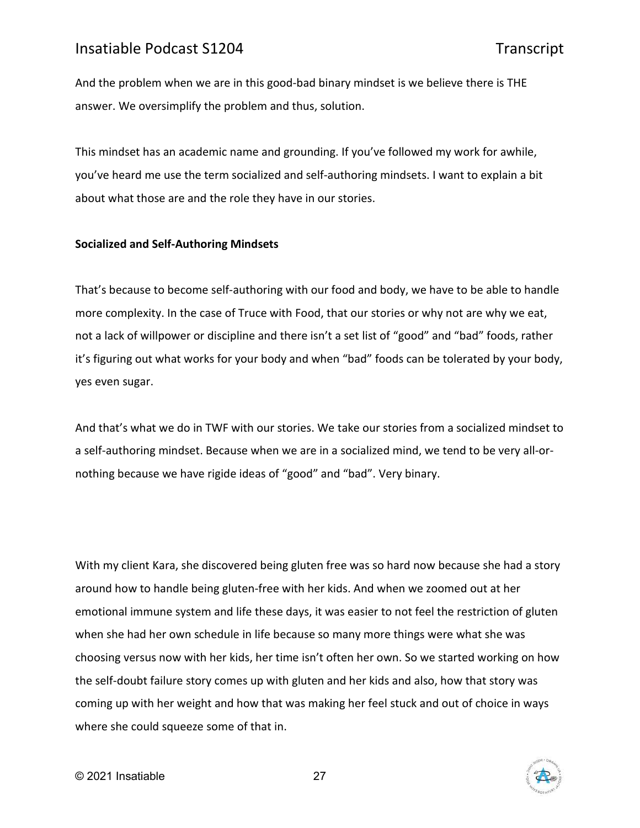And the problem when we are in this good-bad binary mindset is we believe there is THE answer. We oversimplify the problem and thus, solution.

This mindset has an academic name and grounding. If you've followed my work for awhile, you've heard me use the term socialized and self-authoring mindsets. I want to explain a bit about what those are and the role they have in our stories.

### **Socialized and Self-Authoring Mindsets**

That's because to become self-authoring with our food and body, we have to be able to handle more complexity. In the case of Truce with Food, that our stories or why not are why we eat, not a lack of willpower or discipline and there isn't a set list of "good" and "bad" foods, rather it's figuring out what works for your body and when "bad" foods can be tolerated by your body, yes even sugar.

And that's what we do in TWF with our stories. We take our stories from a socialized mindset to a self-authoring mindset. Because when we are in a socialized mind, we tend to be very all-ornothing because we have rigide ideas of "good" and "bad". Very binary.

With my client Kara, she discovered being gluten free was so hard now because she had a story around how to handle being gluten-free with her kids. And when we zoomed out at her emotional immune system and life these days, it was easier to not feel the restriction of gluten when she had her own schedule in life because so many more things were what she was choosing versus now with her kids, her time isn't often her own. So we started working on how the self-doubt failure story comes up with gluten and her kids and also, how that story was coming up with her weight and how that was making her feel stuck and out of choice in ways where she could squeeze some of that in.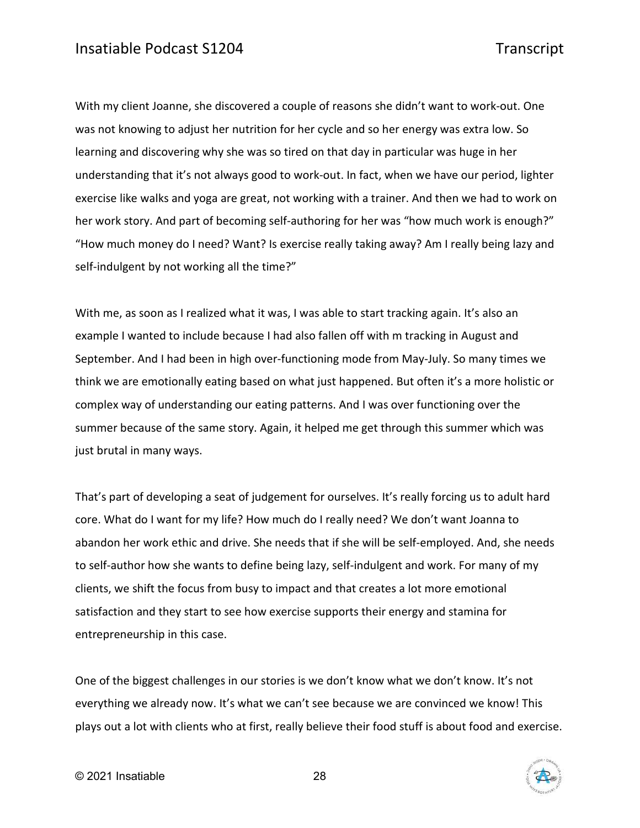With my client Joanne, she discovered a couple of reasons she didn't want to work-out. One was not knowing to adjust her nutrition for her cycle and so her energy was extra low. So learning and discovering why she was so tired on that day in particular was huge in her understanding that it's not always good to work-out. In fact, when we have our period, lighter exercise like walks and yoga are great, not working with a trainer. And then we had to work on her work story. And part of becoming self-authoring for her was "how much work is enough?" "How much money do I need? Want? Is exercise really taking away? Am I really being lazy and self-indulgent by not working all the time?"

With me, as soon as I realized what it was, I was able to start tracking again. It's also an example I wanted to include because I had also fallen off with m tracking in August and September. And I had been in high over-functioning mode from May-July. So many times we think we are emotionally eating based on what just happened. But often it's a more holistic or complex way of understanding our eating patterns. And I was over functioning over the summer because of the same story. Again, it helped me get through this summer which was just brutal in many ways.

That's part of developing a seat of judgement for ourselves. It's really forcing us to adult hard core. What do I want for my life? How much do I really need? We don't want Joanna to abandon her work ethic and drive. She needs that if she will be self-employed. And, she needs to self-author how she wants to define being lazy, self-indulgent and work. For many of my clients, we shift the focus from busy to impact and that creates a lot more emotional satisfaction and they start to see how exercise supports their energy and stamina for entrepreneurship in this case.

One of the biggest challenges in our stories is we don't know what we don't know. It's not everything we already now. It's what we can't see because we are convinced we know! This plays out a lot with clients who at first, really believe their food stuff is about food and exercise.

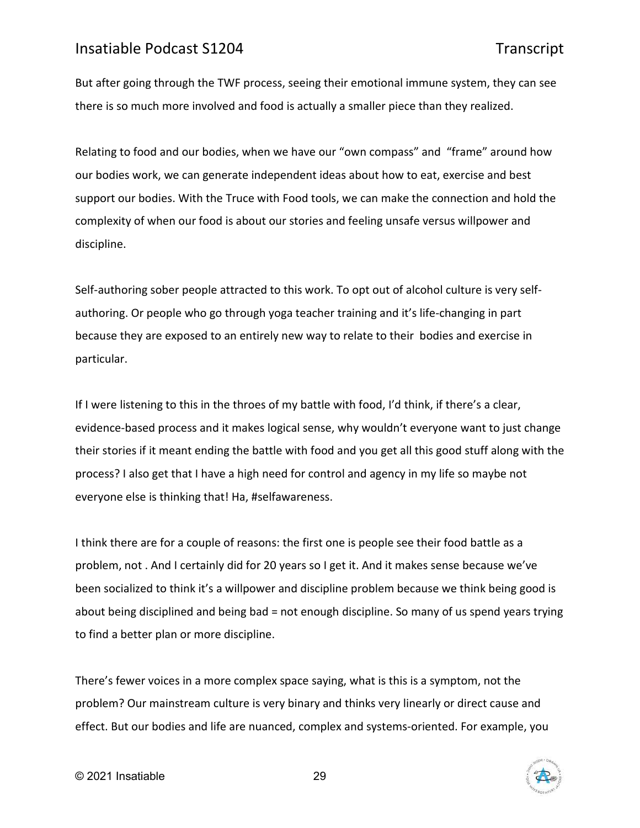But after going through the TWF process, seeing their emotional immune system, they can see there is so much more involved and food is actually a smaller piece than they realized.

Relating to food and our bodies, when we have our "own compass" and "frame" around how our bodies work, we can generate independent ideas about how to eat, exercise and best support our bodies. With the Truce with Food tools, we can make the connection and hold the complexity of when our food is about our stories and feeling unsafe versus willpower and discipline.

Self-authoring sober people attracted to this work. To opt out of alcohol culture is very selfauthoring. Or people who go through yoga teacher training and it's life-changing in part because they are exposed to an entirely new way to relate to their bodies and exercise in particular.

If I were listening to this in the throes of my battle with food, I'd think, if there's a clear, evidence-based process and it makes logical sense, why wouldn't everyone want to just change their stories if it meant ending the battle with food and you get all this good stuff along with the process? I also get that I have a high need for control and agency in my life so maybe not everyone else is thinking that! Ha, #selfawareness.

I think there are for a couple of reasons: the first one is people see their food battle as a problem, not . And I certainly did for 20 years so I get it. And it makes sense because we've been socialized to think it's a willpower and discipline problem because we think being good is about being disciplined and being bad = not enough discipline. So many of us spend years trying to find a better plan or more discipline.

There's fewer voices in a more complex space saying, what is this is a symptom, not the problem? Our mainstream culture is very binary and thinks very linearly or direct cause and effect. But our bodies and life are nuanced, complex and systems-oriented. For example, you

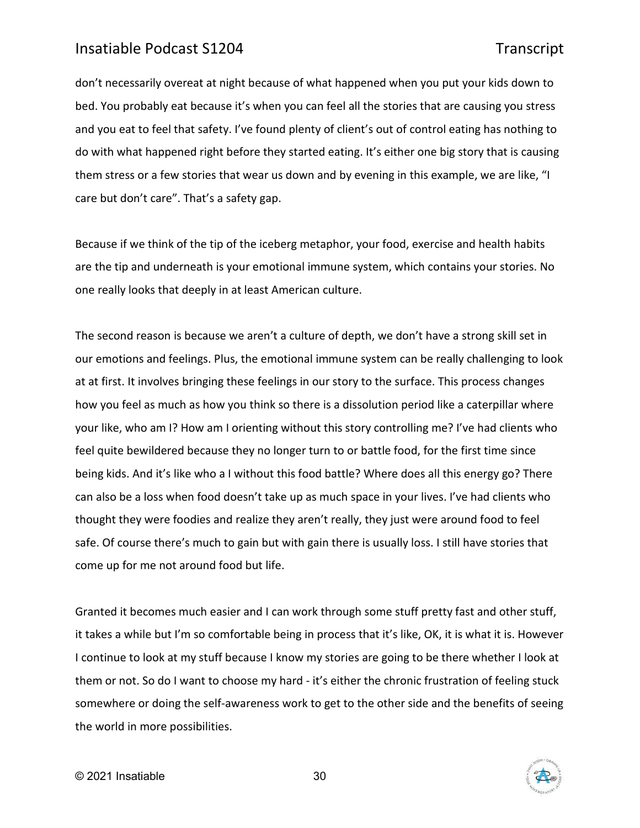don't necessarily overeat at night because of what happened when you put your kids down to bed. You probably eat because it's when you can feel all the stories that are causing you stress and you eat to feel that safety. I've found plenty of client's out of control eating has nothing to do with what happened right before they started eating. It's either one big story that is causing them stress or a few stories that wear us down and by evening in this example, we are like, "I care but don't care". That's a safety gap.

Because if we think of the tip of the iceberg metaphor, your food, exercise and health habits are the tip and underneath is your emotional immune system, which contains your stories. No one really looks that deeply in at least American culture.

The second reason is because we aren't a culture of depth, we don't have a strong skill set in our emotions and feelings. Plus, the emotional immune system can be really challenging to look at at first. It involves bringing these feelings in our story to the surface. This process changes how you feel as much as how you think so there is a dissolution period like a caterpillar where your like, who am I? How am I orienting without this story controlling me? I've had clients who feel quite bewildered because they no longer turn to or battle food, for the first time since being kids. And it's like who a I without this food battle? Where does all this energy go? There can also be a loss when food doesn't take up as much space in your lives. I've had clients who thought they were foodies and realize they aren't really, they just were around food to feel safe. Of course there's much to gain but with gain there is usually loss. I still have stories that come up for me not around food but life.

Granted it becomes much easier and I can work through some stuff pretty fast and other stuff, it takes a while but I'm so comfortable being in process that it's like, OK, it is what it is. However I continue to look at my stuff because I know my stories are going to be there whether I look at them or not. So do I want to choose my hard - it's either the chronic frustration of feeling stuck somewhere or doing the self-awareness work to get to the other side and the benefits of seeing the world in more possibilities.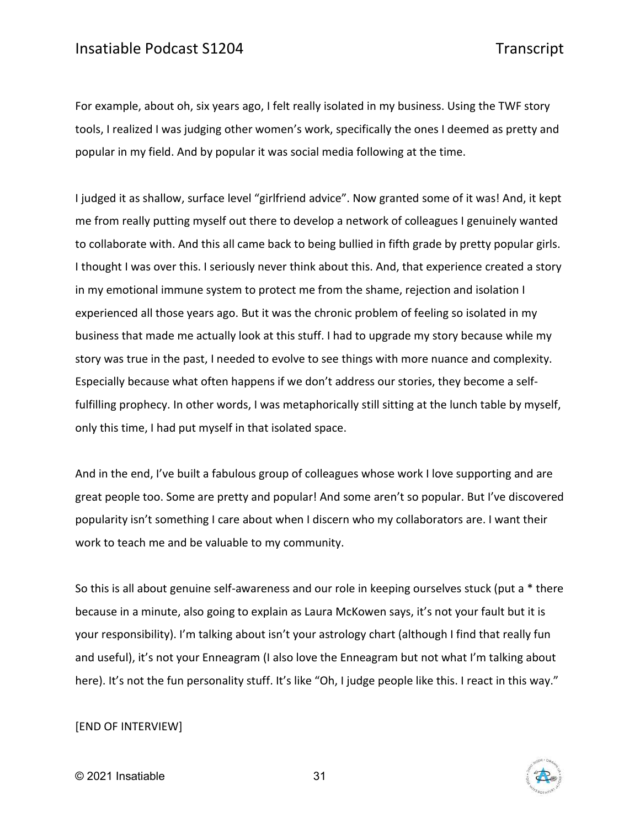For example, about oh, six years ago, I felt really isolated in my business. Using the TWF story tools, I realized I was judging other women's work, specifically the ones I deemed as pretty and popular in my field. And by popular it was social media following at the time.

I judged it as shallow, surface level "girlfriend advice". Now granted some of it was! And, it kept me from really putting myself out there to develop a network of colleagues I genuinely wanted to collaborate with. And this all came back to being bullied in fifth grade by pretty popular girls. I thought I was over this. I seriously never think about this. And, that experience created a story in my emotional immune system to protect me from the shame, rejection and isolation I experienced all those years ago. But it was the chronic problem of feeling so isolated in my business that made me actually look at this stuff. I had to upgrade my story because while my story was true in the past, I needed to evolve to see things with more nuance and complexity. Especially because what often happens if we don't address our stories, they become a selffulfilling prophecy. In other words, I was metaphorically still sitting at the lunch table by myself, only this time, I had put myself in that isolated space.

And in the end, I've built a fabulous group of colleagues whose work I love supporting and are great people too. Some are pretty and popular! And some aren't so popular. But I've discovered popularity isn't something I care about when I discern who my collaborators are. I want their work to teach me and be valuable to my community.

So this is all about genuine self-awareness and our role in keeping ourselves stuck (put a \* there because in a minute, also going to explain as Laura McKowen says, it's not your fault but it is your responsibility). I'm talking about isn't your astrology chart (although I find that really fun and useful), it's not your Enneagram (I also love the Enneagram but not what I'm talking about here). It's not the fun personality stuff. It's like "Oh, I judge people like this. I react in this way."

### [END OF INTERVIEW]